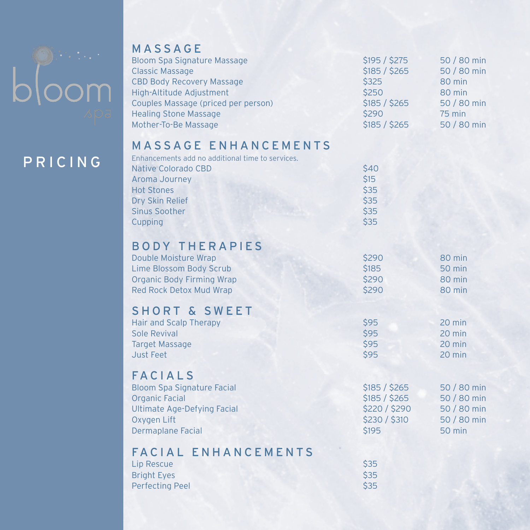

### MASSAGE

| <b>Bloom Spa Signature Massage</b><br><b>Classic Massage</b><br><b>CBD Body Recovery Massage</b><br>High-Altitude Adjustment<br>Couples Massage (priced per person)<br><b>Healing Stone Massage</b><br>Mother-To-Be Massage | \$195 / \$275<br>\$185 / \$265<br>\$325<br>\$250<br>\$185 / \$265<br>\$290<br>\$185 / \$265 | 50 / 80 min<br>50 / 80 min<br>80 min<br>80 min<br>50 / 80 min<br><b>75 min</b><br>50 / 80 min |
|-----------------------------------------------------------------------------------------------------------------------------------------------------------------------------------------------------------------------------|---------------------------------------------------------------------------------------------|-----------------------------------------------------------------------------------------------|
| <b>MASSAGE ENHANCEMENTS</b><br>Enhancements add no additional time to services.<br><b>Native Colorado CBD</b><br>Aroma Journey<br><b>Hot Stones</b><br>Dry Skin Relief<br><b>Sinus Soother</b><br>Cupping                   | \$40<br><b>\$15</b><br>\$35<br>\$35<br>\$35<br>\$35                                         |                                                                                               |
| <b>BODY THERAPIES</b><br>Double Moisture Wrap<br><b>Lime Blossom Body Scrub</b><br><b>Organic Body Firming Wrap</b><br><b>Red Rock Detox Mud Wrap</b>                                                                       | \$290<br><b>\$185</b><br>\$290<br>\$290                                                     | 80 min<br><b>50 min</b><br>80 min<br>80 min                                                   |
| <b>SHORT &amp; SWEET</b><br><b>Hair and Scalp Therapy</b><br>Sole Revival<br><b>Target Massage</b><br>Just Feet                                                                                                             | \$95<br><b>\$95</b><br><b>\$95</b><br>\$95                                                  | 20 min<br>20 min<br>20 min<br>20 min                                                          |
| <b>FACIALS</b><br><b>Bloom Spa Signature Facial</b><br><b>Organic Facial</b><br><b>Ultimate Age-Defying Facial</b><br>Oxygen Lift<br><b>Dermaplane Facial</b>                                                               | \$185 / \$265<br>\$185 / \$265<br>\$220 / \$290<br>\$230 / \$310<br><b>\$195</b>            | 50 / 80 min<br>50 / 80 min<br>50 / 80 min<br>50 / 80 min<br>50 min                            |
| <b>FACIAL ENHANCEMENTS</b><br><b>Lip Rescue</b><br><b>Bright Eyes</b><br><b>Perfecting Peel</b>                                                                                                                             | \$35<br>\$35<br><b>\$35</b>                                                                 |                                                                                               |

# PRICING